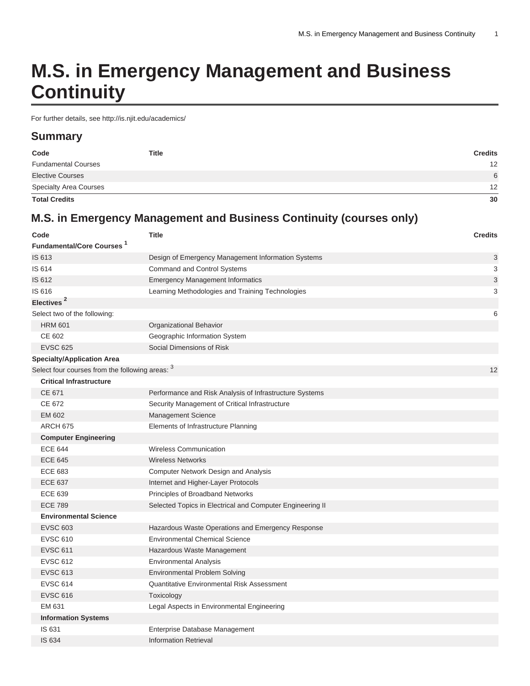# **M.S. in Emergency Management and Business Continuity**

For further details, see<http://is.njit.edu/academics/>

# **Summary**

| Code                          | <b>Title</b> | <b>Credits</b>  |
|-------------------------------|--------------|-----------------|
| <b>Fundamental Courses</b>    |              | 12 <sup>2</sup> |
| <b>Elective Courses</b>       |              | 6               |
| <b>Specialty Area Courses</b> |              | 12              |
| <b>Total Credits</b>          |              | 30              |

# **M.S. in Emergency Management and Business Continuity (courses only)**

| Code                                            | <b>Title</b>                                              | <b>Credits</b> |
|-------------------------------------------------|-----------------------------------------------------------|----------------|
| <b>Fundamental/Core Courses</b> 1               |                                                           |                |
| IS 613                                          | Design of Emergency Management Information Systems        | 3              |
| IS 614                                          | Command and Control Systems                               | 3              |
| IS 612                                          | <b>Emergency Management Informatics</b>                   | 3              |
| IS 616                                          | Learning Methodologies and Training Technologies          | 3              |
| Electives <sup>2</sup>                          |                                                           |                |
| Select two of the following:                    |                                                           | 6              |
| <b>HRM 601</b>                                  | Organizational Behavior                                   |                |
| CE 602                                          | Geographic Information System                             |                |
| <b>EVSC 625</b>                                 | Social Dimensions of Risk                                 |                |
| <b>Specialty/Application Area</b>               |                                                           |                |
| Select four courses from the following areas: 3 |                                                           | 12             |
| <b>Critical Infrastructure</b>                  |                                                           |                |
| CE 671                                          | Performance and Risk Analysis of Infrastructure Systems   |                |
| CE 672                                          | Security Management of Critical Infrastructure            |                |
| EM 602                                          | Management Science                                        |                |
| <b>ARCH 675</b>                                 | Elements of Infrastructure Planning                       |                |
| <b>Computer Engineering</b>                     |                                                           |                |
| <b>ECE 644</b>                                  | <b>Wireless Communication</b>                             |                |
| <b>ECE 645</b>                                  | <b>Wireless Networks</b>                                  |                |
| <b>ECE 683</b>                                  | Computer Network Design and Analysis                      |                |
| <b>ECE 637</b>                                  | Internet and Higher-Layer Protocols                       |                |
| <b>ECE 639</b>                                  | Principles of Broadband Networks                          |                |
| <b>ECE 789</b>                                  | Selected Topics in Electrical and Computer Engineering II |                |
| <b>Environmental Science</b>                    |                                                           |                |
| <b>EVSC 603</b>                                 | Hazardous Waste Operations and Emergency Response         |                |
| <b>EVSC 610</b>                                 | <b>Environmental Chemical Science</b>                     |                |
| <b>EVSC 611</b>                                 | Hazardous Waste Management                                |                |
| <b>EVSC 612</b>                                 | <b>Environmental Analysis</b>                             |                |
| <b>EVSC 613</b>                                 | <b>Environmental Problem Solving</b>                      |                |
| <b>EVSC 614</b>                                 | Quantitative Environmental Risk Assessment                |                |
| <b>EVSC 616</b>                                 | Toxicology                                                |                |
| EM 631                                          | Legal Aspects in Environmental Engineering                |                |
| <b>Information Systems</b>                      |                                                           |                |
| IS 631                                          | Enterprise Database Management                            |                |
| IS 634                                          | <b>Information Retrieval</b>                              |                |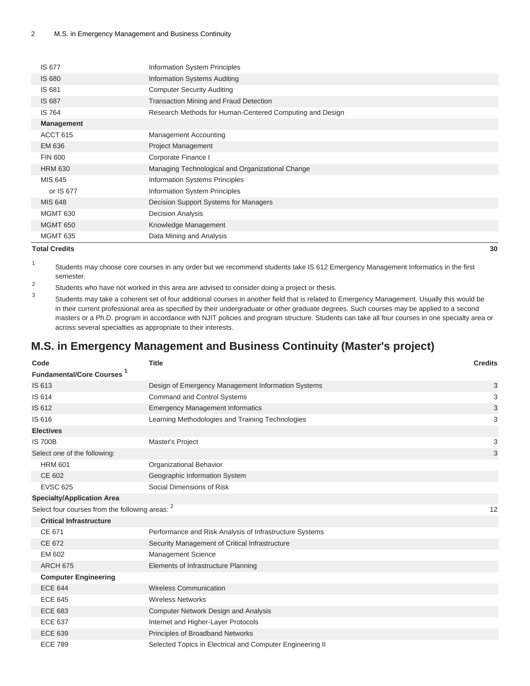| IS 677              | Information System Principles                            |
|---------------------|----------------------------------------------------------|
| <b>IS 680</b>       | Information Systems Auditing                             |
| IS 681              | <b>Computer Security Auditing</b>                        |
| IS 687              | Transaction Mining and Fraud Detection                   |
| <b>IS 764</b>       | Research Methods for Human-Centered Computing and Design |
| <b>Management</b>   |                                                          |
| ACCT <sub>615</sub> | Management Accounting                                    |
| EM 636              | <b>Project Management</b>                                |
| <b>FIN 600</b>      | Corporate Finance I                                      |
| <b>HRM 630</b>      | Managing Technological and Organizational Change         |
| MIS 645             | Information Systems Principles                           |
| or IS 677           | Information System Principles                            |
| <b>MIS 648</b>      | Decision Support Systems for Managers                    |
| <b>MGMT 630</b>     | <b>Decision Analysis</b>                                 |
| <b>MGMT 650</b>     | Knowledge Management                                     |
| <b>MGMT 635</b>     | Data Mining and Analysis                                 |

#### **Total Credits 30**

- 1 Students may choose core courses in any order but we recommend students take IS 612 Emergency Management Informatics in the first semester.
- 2 Students who have not worked in this area are advised to consider doing a project or thesis.
- 3 Students may take a coherent set of four additional courses in another field that is related to Emergency Management. Usually this would be in their current professional area as specified by their undergraduate or other graduate degrees. Such courses may be applied to a second masters or a Ph.D. program in accordance with NJIT policies and program structure. Students can take all four courses in one specialty area or across several specialties as appropriate to their interests.

# **M.S. in Emergency Management and Business Continuity (Master's project)**

| Code                                            | <b>Title</b>                                              | <b>Credits</b> |
|-------------------------------------------------|-----------------------------------------------------------|----------------|
| <b>Fundamental/Core Courses</b> 1               |                                                           |                |
| IS 613                                          | Design of Emergency Management Information Systems        | 3              |
| IS 614                                          | <b>Command and Control Systems</b>                        | 3              |
| IS 612                                          | <b>Emergency Management Informatics</b>                   | 3              |
| IS 616                                          | Learning Methodologies and Training Technologies          | 3              |
| <b>Electives</b>                                |                                                           |                |
| <b>IS 700B</b>                                  | Master's Project                                          | 3              |
| Select one of the following:                    |                                                           | 3              |
| <b>HRM 601</b>                                  | Organizational Behavior                                   |                |
| CE 602                                          | Geographic Information System                             |                |
| <b>EVSC 625</b>                                 | Social Dimensions of Risk                                 |                |
| <b>Specialty/Application Area</b>               |                                                           |                |
| Select four courses from the following areas: 2 |                                                           | 12             |
| <b>Critical Infrastructure</b>                  |                                                           |                |
| CE 671                                          | Performance and Risk Analysis of Infrastructure Systems   |                |
| CE 672                                          | Security Management of Critical Infrastructure            |                |
| EM 602                                          | <b>Management Science</b>                                 |                |
| <b>ARCH 675</b>                                 | Elements of Infrastructure Planning                       |                |
| <b>Computer Engineering</b>                     |                                                           |                |
| <b>ECE 644</b>                                  | <b>Wireless Communication</b>                             |                |
| <b>ECE 645</b>                                  | <b>Wireless Networks</b>                                  |                |
| <b>ECE 683</b>                                  | <b>Computer Network Design and Analysis</b>               |                |
| <b>ECE 637</b>                                  | Internet and Higher-Layer Protocols                       |                |
| <b>ECE 639</b>                                  | Principles of Broadband Networks                          |                |
| <b>ECE 789</b>                                  | Selected Topics in Electrical and Computer Engineering II |                |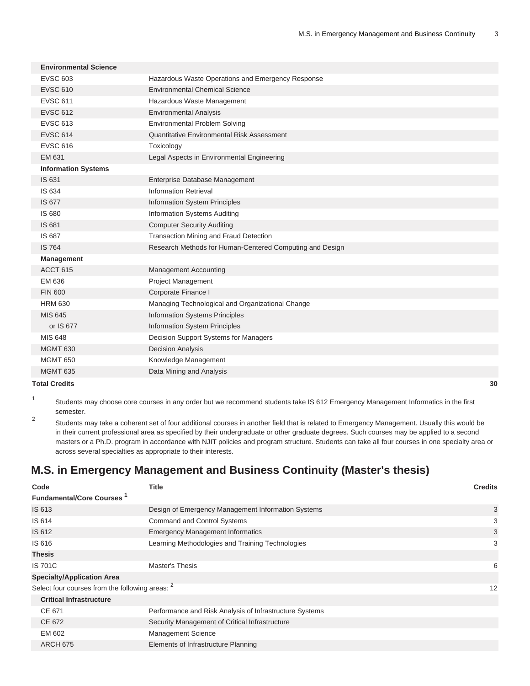| Hazardous Waste Operations and Emergency Response<br><b>EVSC 603</b>      |  |
|---------------------------------------------------------------------------|--|
| <b>EVSC 610</b><br><b>Environmental Chemical Science</b>                  |  |
| <b>EVSC 611</b><br>Hazardous Waste Management                             |  |
| <b>EVSC 612</b><br><b>Environmental Analysis</b>                          |  |
| <b>EVSC 613</b><br><b>Environmental Problem Solving</b>                   |  |
| <b>EVSC 614</b><br>Quantitative Environmental Risk Assessment             |  |
| <b>EVSC 616</b><br>Toxicology                                             |  |
| EM 631<br>Legal Aspects in Environmental Engineering                      |  |
| <b>Information Systems</b>                                                |  |
| IS 631<br>Enterprise Database Management                                  |  |
| IS 634<br>Information Retrieval                                           |  |
| IS 677<br><b>Information System Principles</b>                            |  |
| IS 680<br><b>Information Systems Auditing</b>                             |  |
| IS 681<br><b>Computer Security Auditing</b>                               |  |
| Transaction Mining and Fraud Detection<br>IS 687                          |  |
| <b>IS 764</b><br>Research Methods for Human-Centered Computing and Design |  |
| <b>Management</b>                                                         |  |
| ACCT <sub>615</sub><br><b>Management Accounting</b>                       |  |
| EM 636<br>Project Management                                              |  |
| <b>FIN 600</b><br>Corporate Finance I                                     |  |
| <b>HRM 630</b><br>Managing Technological and Organizational Change        |  |
| <b>MIS 645</b><br><b>Information Systems Principles</b>                   |  |
| <b>Information System Principles</b><br>or IS 677                         |  |
| MIS 648<br>Decision Support Systems for Managers                          |  |
| <b>Decision Analysis</b><br><b>MGMT 630</b>                               |  |
| <b>MGMT 650</b><br>Knowledge Management                                   |  |
| Data Mining and Analysis<br><b>MGMT 635</b>                               |  |

**Total Credits 30**

1 Students may choose core courses in any order but we recommend students take IS 612 Emergency Management Informatics in the first semester.

2 Students may take a coherent set of four additional courses in another field that is related to Emergency Management. Usually this would be in their current professional area as specified by their undergraduate or other graduate degrees. Such courses may be applied to a second masters or a Ph.D. program in accordance with NJIT policies and program structure. Students can take all four courses in one specialty area or across several specialties as appropriate to their interests.

# **M.S. in Emergency Management and Business Continuity (Master's thesis)**

| Code                                                       | <b>Title</b>                                            | <b>Credits</b> |
|------------------------------------------------------------|---------------------------------------------------------|----------------|
| <b>Fundamental/Core Courses</b> <sup>1</sup>               |                                                         |                |
| IS 613                                                     | Design of Emergency Management Information Systems      | 3              |
| IS 614                                                     | <b>Command and Control Systems</b>                      | 3              |
| IS 612                                                     | <b>Emergency Management Informatics</b>                 | 3              |
| IS 616                                                     | Learning Methodologies and Training Technologies        | 3              |
| <b>Thesis</b>                                              |                                                         |                |
| <b>IS 701C</b>                                             | Master's Thesis                                         | 6              |
| <b>Specialty/Application Area</b>                          |                                                         |                |
| Select four courses from the following areas: <sup>2</sup> |                                                         | 12             |
| <b>Critical Infrastructure</b>                             |                                                         |                |
| CE 671                                                     | Performance and Risk Analysis of Infrastructure Systems |                |
| CE 672                                                     | Security Management of Critical Infrastructure          |                |
| EM 602                                                     | <b>Management Science</b>                               |                |
| <b>ARCH 675</b>                                            | Elements of Infrastructure Planning                     |                |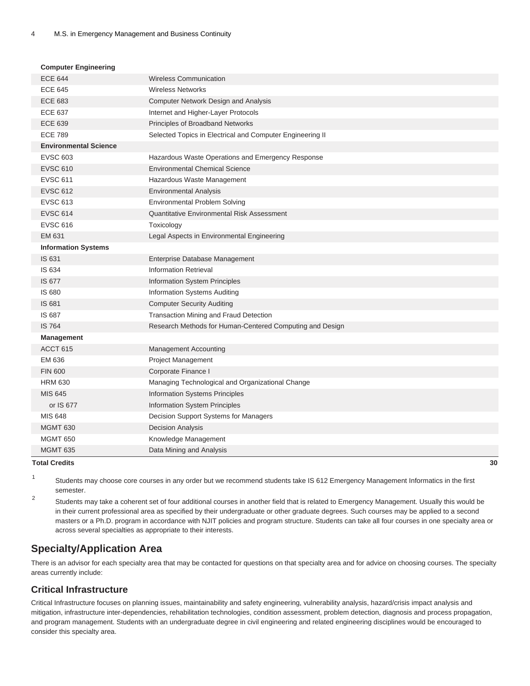#### **Computer Engineering**

| <b>ECE 644</b>               | <b>Wireless Communication</b>                             |
|------------------------------|-----------------------------------------------------------|
| <b>ECE 645</b>               | <b>Wireless Networks</b>                                  |
| <b>ECE 683</b>               | <b>Computer Network Design and Analysis</b>               |
| <b>ECE 637</b>               | Internet and Higher-Layer Protocols                       |
| <b>ECE 639</b>               | Principles of Broadband Networks                          |
| <b>ECE 789</b>               | Selected Topics in Electrical and Computer Engineering II |
| <b>Environmental Science</b> |                                                           |
| <b>EVSC 603</b>              | Hazardous Waste Operations and Emergency Response         |
| <b>EVSC 610</b>              | <b>Environmental Chemical Science</b>                     |
| <b>EVSC 611</b>              | Hazardous Waste Management                                |
| <b>EVSC 612</b>              | <b>Environmental Analysis</b>                             |
| <b>EVSC 613</b>              | <b>Environmental Problem Solving</b>                      |
| <b>EVSC 614</b>              | <b>Quantitative Environmental Risk Assessment</b>         |
| <b>EVSC 616</b>              | Toxicology                                                |
| EM 631                       | Legal Aspects in Environmental Engineering                |
| <b>Information Systems</b>   |                                                           |
| IS 631                       | Enterprise Database Management                            |
| IS 634                       | <b>Information Retrieval</b>                              |
| IS 677                       | Information System Principles                             |
| IS 680                       | <b>Information Systems Auditing</b>                       |
| IS 681                       | <b>Computer Security Auditing</b>                         |
| IS 687                       | Transaction Mining and Fraud Detection                    |
| <b>IS 764</b>                | Research Methods for Human-Centered Computing and Design  |
| <b>Management</b>            |                                                           |
| ACCT <sub>615</sub>          | <b>Management Accounting</b>                              |
| EM 636                       | <b>Project Management</b>                                 |
| <b>FIN 600</b>               | Corporate Finance I                                       |
| <b>HRM 630</b>               | Managing Technological and Organizational Change          |
| <b>MIS 645</b>               | <b>Information Systems Principles</b>                     |
| or IS 677                    | Information System Principles                             |
| <b>MIS 648</b>               | Decision Support Systems for Managers                     |
| <b>MGMT 630</b>              | <b>Decision Analysis</b>                                  |
| <b>MGMT 650</b>              | Knowledge Management                                      |
| <b>MGMT 635</b>              | Data Mining and Analysis                                  |

#### **Total Credits 30**

1 Students may choose core courses in any order but we recommend students take IS 612 Emergency Management Informatics in the first semester.

2 Students may take a coherent set of four additional courses in another field that is related to Emergency Management. Usually this would be in their current professional area as specified by their undergraduate or other graduate degrees. Such courses may be applied to a second masters or a Ph.D. program in accordance with NJIT policies and program structure. Students can take all four courses in one specialty area or across several specialties as appropriate to their interests.

# **Specialty/Application Area**

There is an advisor for each specialty area that may be contacted for questions on that specialty area and for advice on choosing courses. The specialty areas currently include:

## **Critical Infrastructure**

Critical Infrastructure focuses on planning issues, maintainability and safety engineering, vulnerability analysis, hazard/crisis impact analysis and mitigation, infrastructure inter-dependencies, rehabilitation technologies, condition assessment, problem detection, diagnosis and process propagation, and program management. Students with an undergraduate degree in civil engineering and related engineering disciplines would be encouraged to consider this specialty area.